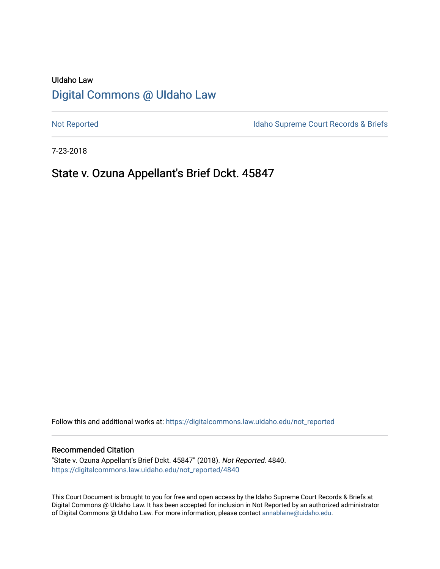# UIdaho Law [Digital Commons @ UIdaho Law](https://digitalcommons.law.uidaho.edu/)

[Not Reported](https://digitalcommons.law.uidaho.edu/not_reported) **Idaho Supreme Court Records & Briefs** 

7-23-2018

# State v. Ozuna Appellant's Brief Dckt. 45847

Follow this and additional works at: [https://digitalcommons.law.uidaho.edu/not\\_reported](https://digitalcommons.law.uidaho.edu/not_reported?utm_source=digitalcommons.law.uidaho.edu%2Fnot_reported%2F4840&utm_medium=PDF&utm_campaign=PDFCoverPages) 

#### Recommended Citation

"State v. Ozuna Appellant's Brief Dckt. 45847" (2018). Not Reported. 4840. [https://digitalcommons.law.uidaho.edu/not\\_reported/4840](https://digitalcommons.law.uidaho.edu/not_reported/4840?utm_source=digitalcommons.law.uidaho.edu%2Fnot_reported%2F4840&utm_medium=PDF&utm_campaign=PDFCoverPages)

This Court Document is brought to you for free and open access by the Idaho Supreme Court Records & Briefs at Digital Commons @ UIdaho Law. It has been accepted for inclusion in Not Reported by an authorized administrator of Digital Commons @ UIdaho Law. For more information, please contact [annablaine@uidaho.edu](mailto:annablaine@uidaho.edu).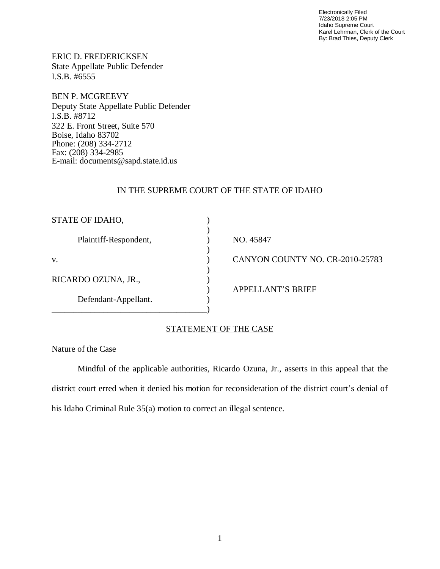Electronically Filed 7/23/2018 2:05 PM Idaho Supreme Court Karel Lehrman, Clerk of the Court By: Brad Thies, Deputy Clerk

ERIC D. FREDERICKSEN State Appellate Public Defender I.S.B. #6555

BEN P. MCGREEVY Deputy State Appellate Public Defender I.S.B. #8712 322 E. Front Street, Suite 570 Boise, Idaho 83702 Phone: (208) 334-2712 Fax: (208) 334-2985 E-mail: documents@sapd.state.id.us

## IN THE SUPREME COURT OF THE STATE OF IDAHO

| STATE OF IDAHO,       |                                 |
|-----------------------|---------------------------------|
| Plaintiff-Respondent, | NO. 45847                       |
| V.                    | CANYON COUNTY NO. CR-2010-25783 |
| RICARDO OZUNA, JR.,   | <b>APPELLANT'S BRIEF</b>        |
| Defendant-Appellant.  |                                 |

## STATEMENT OF THE CASE

### Nature of the Case

Mindful of the applicable authorities, Ricardo Ozuna, Jr., asserts in this appeal that the district court erred when it denied his motion for reconsideration of the district court's denial of his Idaho Criminal Rule 35(a) motion to correct an illegal sentence.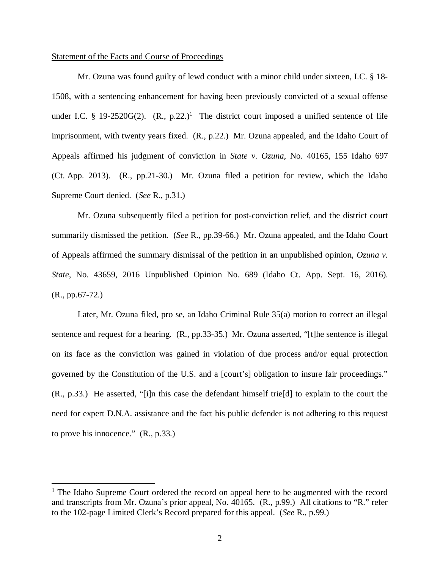#### Statement of the Facts and Course of Proceedings

Mr. Ozuna was found guilty of lewd conduct with a minor child under sixteen, I.C. § 18- 1508, with a sentencing enhancement for having been previously convicted of a sexual offense under I.C. § [1](#page-2-0)9-2520G(2).  $(R., p.22.)^1$  The district court imposed a unified sentence of life imprisonment, with twenty years fixed. (R., p.22.) Mr. Ozuna appealed, and the Idaho Court of Appeals affirmed his judgment of conviction in *State v. Ozuna*, No. 40165, 155 Idaho 697 (Ct. App. 2013). (R., pp.21-30.) Mr. Ozuna filed a petition for review, which the Idaho Supreme Court denied. (*See* R., p.31.)

Mr. Ozuna subsequently filed a petition for post-conviction relief, and the district court summarily dismissed the petition. (*See* R., pp.39-66.) Mr. Ozuna appealed, and the Idaho Court of Appeals affirmed the summary dismissal of the petition in an unpublished opinion, *Ozuna v. State*, No. 43659, 2016 Unpublished Opinion No. 689 (Idaho Ct. App. Sept. 16, 2016). (R., pp.67-72.)

Later, Mr. Ozuna filed, pro se, an Idaho Criminal Rule 35(a) motion to correct an illegal sentence and request for a hearing. (R., pp.33-35.) Mr. Ozuna asserted, "[t]he sentence is illegal on its face as the conviction was gained in violation of due process and/or equal protection governed by the Constitution of the U.S. and a [court's] obligation to insure fair proceedings." (R., p.33.) He asserted, "[i]n this case the defendant himself trie[d] to explain to the court the need for expert D.N.A. assistance and the fact his public defender is not adhering to this request to prove his innocence." (R., p.33.)

<span id="page-2-0"></span><sup>&</sup>lt;sup>1</sup> The Idaho Supreme Court ordered the record on appeal here to be augmented with the record and transcripts from Mr. Ozuna's prior appeal, No. 40165. (R., p.99.) All citations to "R." refer to the 102-page Limited Clerk's Record prepared for this appeal. (*See* R., p.99.)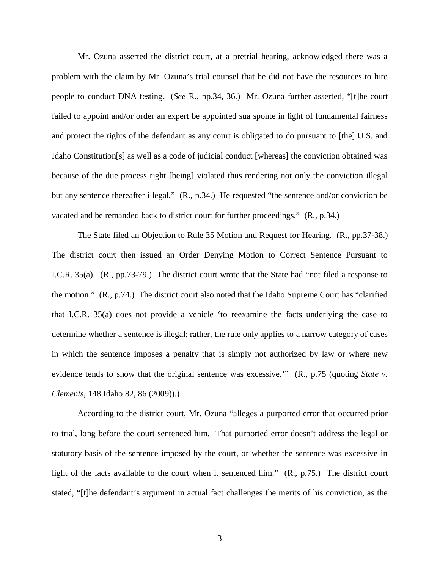Mr. Ozuna asserted the district court, at a pretrial hearing, acknowledged there was a problem with the claim by Mr. Ozuna's trial counsel that he did not have the resources to hire people to conduct DNA testing. (*See* R., pp.34, 36.) Mr. Ozuna further asserted, "[t]he court failed to appoint and/or order an expert be appointed sua sponte in light of fundamental fairness and protect the rights of the defendant as any court is obligated to do pursuant to [the] U.S. and Idaho Constitution[s] as well as a code of judicial conduct [whereas] the conviction obtained was because of the due process right [being] violated thus rendering not only the conviction illegal but any sentence thereafter illegal." (R., p.34.) He requested "the sentence and/or conviction be vacated and be remanded back to district court for further proceedings." (R., p.34.)

The State filed an Objection to Rule 35 Motion and Request for Hearing. (R., pp.37-38.) The district court then issued an Order Denying Motion to Correct Sentence Pursuant to I.C.R. 35(a). (R., pp.73-79.) The district court wrote that the State had "not filed a response to the motion." (R., p.74.) The district court also noted that the Idaho Supreme Court has "clarified that I.C.R. 35(a) does not provide a vehicle 'to reexamine the facts underlying the case to determine whether a sentence is illegal; rather, the rule only applies to a narrow category of cases in which the sentence imposes a penalty that is simply not authorized by law or where new evidence tends to show that the original sentence was excessive.'" (R., p.75 (quoting *State v. Clements*, 148 Idaho 82, 86 (2009)).)

According to the district court, Mr. Ozuna "alleges a purported error that occurred prior to trial, long before the court sentenced him. That purported error doesn't address the legal or statutory basis of the sentence imposed by the court, or whether the sentence was excessive in light of the facts available to the court when it sentenced him." (R., p.75.) The district court stated, "[t]he defendant's argument in actual fact challenges the merits of his conviction, as the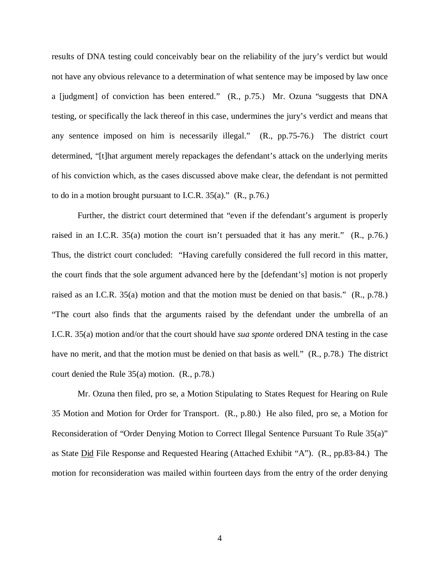results of DNA testing could conceivably bear on the reliability of the jury's verdict but would not have any obvious relevance to a determination of what sentence may be imposed by law once a [judgment] of conviction has been entered." (R., p.75.) Mr. Ozuna "suggests that DNA testing, or specifically the lack thereof in this case, undermines the jury's verdict and means that any sentence imposed on him is necessarily illegal." (R., pp.75-76.) The district court determined, "[t]hat argument merely repackages the defendant's attack on the underlying merits of his conviction which, as the cases discussed above make clear, the defendant is not permitted to do in a motion brought pursuant to I.C.R. 35(a)." (R., p.76.)

Further, the district court determined that "even if the defendant's argument is properly raised in an I.C.R. 35(a) motion the court isn't persuaded that it has any merit." (R., p.76.) Thus, the district court concluded: "Having carefully considered the full record in this matter, the court finds that the sole argument advanced here by the [defendant's] motion is not properly raised as an I.C.R. 35(a) motion and that the motion must be denied on that basis." (R., p.78.) "The court also finds that the arguments raised by the defendant under the umbrella of an I.C.R. 35(a) motion and/or that the court should have *sua sponte* ordered DNA testing in the case have no merit, and that the motion must be denied on that basis as well." (R., p.78.) The district court denied the Rule 35(a) motion. (R., p.78.)

Mr. Ozuna then filed, pro se, a Motion Stipulating to States Request for Hearing on Rule 35 Motion and Motion for Order for Transport. (R., p.80.) He also filed, pro se, a Motion for Reconsideration of "Order Denying Motion to Correct Illegal Sentence Pursuant To Rule 35(a)" as State Did File Response and Requested Hearing (Attached Exhibit "A"). (R., pp.83-84.) The motion for reconsideration was mailed within fourteen days from the entry of the order denying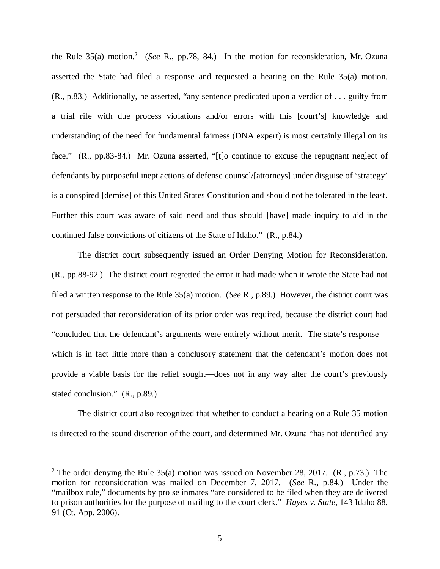the Rule 35(a) motion.<sup>[2](#page-5-0)</sup> (*See* R., pp.78, 84.) In the motion for reconsideration, Mr. Ozuna asserted the State had filed a response and requested a hearing on the Rule 35(a) motion. (R., p.83.) Additionally, he asserted, "any sentence predicated upon a verdict of . . . guilty from a trial rife with due process violations and/or errors with this [court's] knowledge and understanding of the need for fundamental fairness (DNA expert) is most certainly illegal on its face." (R., pp.83-84.) Mr. Ozuna asserted, "[t]o continue to excuse the repugnant neglect of defendants by purposeful inept actions of defense counsel/[attorneys] under disguise of 'strategy' is a conspired [demise] of this United States Constitution and should not be tolerated in the least. Further this court was aware of said need and thus should [have] made inquiry to aid in the continued false convictions of citizens of the State of Idaho." (R., p.84.)

The district court subsequently issued an Order Denying Motion for Reconsideration. (R., pp.88-92.) The district court regretted the error it had made when it wrote the State had not filed a written response to the Rule 35(a) motion. (*See* R., p.89.) However, the district court was not persuaded that reconsideration of its prior order was required, because the district court had "concluded that the defendant's arguments were entirely without merit. The state's response which is in fact little more than a conclusory statement that the defendant's motion does not provide a viable basis for the relief sought—does not in any way alter the court's previously stated conclusion." (R., p.89.)

The district court also recognized that whether to conduct a hearing on a Rule 35 motion is directed to the sound discretion of the court, and determined Mr. Ozuna "has not identified any

<span id="page-5-0"></span><sup>&</sup>lt;sup>2</sup> The order denying the Rule 35(a) motion was issued on November 28, 2017. (R., p.73.) The motion for reconsideration was mailed on December 7, 2017. (*See* R., p.84.) Under the "mailbox rule," documents by pro se inmates "are considered to be filed when they are delivered to prison authorities for the purpose of mailing to the court clerk." *Hayes v. State*, 143 Idaho 88, 91 (Ct. App. 2006).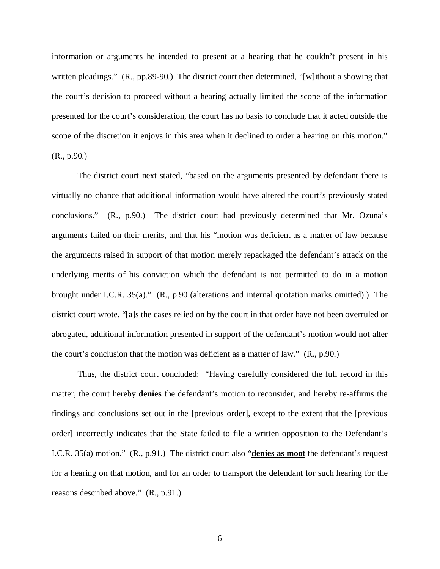information or arguments he intended to present at a hearing that he couldn't present in his written pleadings." (R., pp.89-90.) The district court then determined, "[w]ithout a showing that the court's decision to proceed without a hearing actually limited the scope of the information presented for the court's consideration, the court has no basis to conclude that it acted outside the scope of the discretion it enjoys in this area when it declined to order a hearing on this motion." (R., p.90.)

The district court next stated, "based on the arguments presented by defendant there is virtually no chance that additional information would have altered the court's previously stated conclusions." (R., p.90.) The district court had previously determined that Mr. Ozuna's arguments failed on their merits, and that his "motion was deficient as a matter of law because the arguments raised in support of that motion merely repackaged the defendant's attack on the underlying merits of his conviction which the defendant is not permitted to do in a motion brought under I.C.R. 35(a)." (R., p.90 (alterations and internal quotation marks omitted).) The district court wrote, "[a]s the cases relied on by the court in that order have not been overruled or abrogated, additional information presented in support of the defendant's motion would not alter the court's conclusion that the motion was deficient as a matter of law." (R., p.90.)

Thus, the district court concluded: "Having carefully considered the full record in this matter, the court hereby **denies** the defendant's motion to reconsider, and hereby re-affirms the findings and conclusions set out in the [previous order], except to the extent that the [previous order] incorrectly indicates that the State failed to file a written opposition to the Defendant's I.C.R. 35(a) motion." (R., p.91.) The district court also "**denies as moot** the defendant's request for a hearing on that motion, and for an order to transport the defendant for such hearing for the reasons described above." (R., p.91.)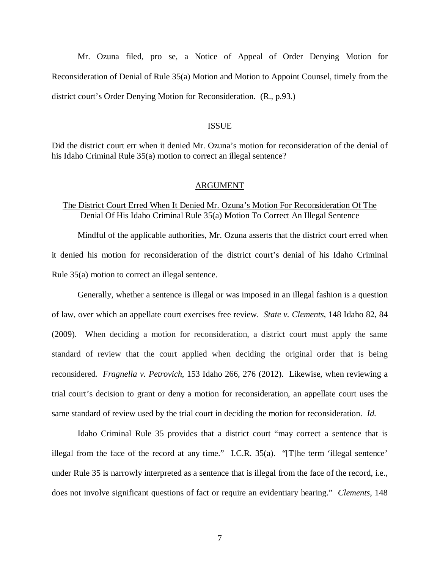Mr. Ozuna filed, pro se, a Notice of Appeal of Order Denying Motion for Reconsideration of Denial of Rule 35(a) Motion and Motion to Appoint Counsel, timely from the district court's Order Denying Motion for Reconsideration. (R., p.93.)

#### ISSUE

Did the district court err when it denied Mr. Ozuna's motion for reconsideration of the denial of his Idaho Criminal Rule 35(a) motion to correct an illegal sentence?

#### ARGUMENT

## The District Court Erred When It Denied Mr. Ozuna's Motion For Reconsideration Of The Denial Of His Idaho Criminal Rule 35(a) Motion To Correct An Illegal Sentence

Mindful of the applicable authorities, Mr. Ozuna asserts that the district court erred when it denied his motion for reconsideration of the district court's denial of his Idaho Criminal Rule 35(a) motion to correct an illegal sentence.

Generally, whether a sentence is illegal or was imposed in an illegal fashion is a question of law, over which an appellate court exercises free review. *State v. Clements*, 148 Idaho 82, 84 (2009). When deciding a motion for reconsideration, a district court must apply the same standard of review that the court applied when deciding the original order that is being reconsidered. *Fragnella v. Petrovich*, 153 Idaho 266, 276 (2012). Likewise, when reviewing a trial court's decision to grant or deny a motion for reconsideration, an appellate court uses the same standard of review used by the trial court in deciding the motion for reconsideration. *Id.*

Idaho Criminal Rule 35 provides that a district court "may correct a sentence that is illegal from the face of the record at any time." I.C.R. 35(a). "[T]he term 'illegal sentence' under Rule 35 is narrowly interpreted as a sentence that is illegal from the face of the record, i.e., does not involve significant questions of fact or require an evidentiary hearing." *Clements*, 148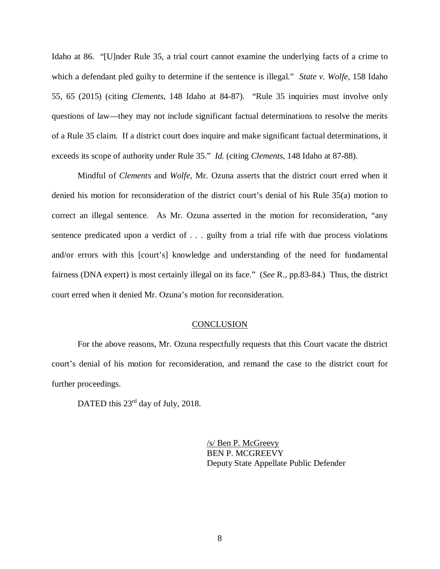Idaho at 86. "[U]nder Rule 35, a trial court cannot examine the underlying facts of a crime to which a defendant pled guilty to determine if the sentence is illegal." *State v. Wolfe*, 158 Idaho 55, 65 (2015) (citing *Clements*, 148 Idaho at 84-87). "Rule 35 inquiries must involve only questions of law—they may not include significant factual determinations to resolve the merits of a Rule 35 claim. If a district court does inquire and make significant factual determinations, it exceeds its scope of authority under Rule 35." *Id.* (citing *Clements*, 148 Idaho at 87-88).

Mindful of *Clements* and *Wolfe*, Mr. Ozuna asserts that the district court erred when it denied his motion for reconsideration of the district court's denial of his Rule 35(a) motion to correct an illegal sentence. As Mr. Ozuna asserted in the motion for reconsideration, "any sentence predicated upon a verdict of . . . guilty from a trial rife with due process violations and/or errors with this [court's] knowledge and understanding of the need for fundamental fairness (DNA expert) is most certainly illegal on its face." (*See* R., pp.83-84.) Thus, the district court erred when it denied Mr. Ozuna's motion for reconsideration.

#### **CONCLUSION**

For the above reasons, Mr. Ozuna respectfully requests that this Court vacate the district court's denial of his motion for reconsideration, and remand the case to the district court for further proceedings.

DATED this 23<sup>rd</sup> day of July, 2018.

/s/ Ben P. McGreevy BEN P. MCGREEVY Deputy State Appellate Public Defender